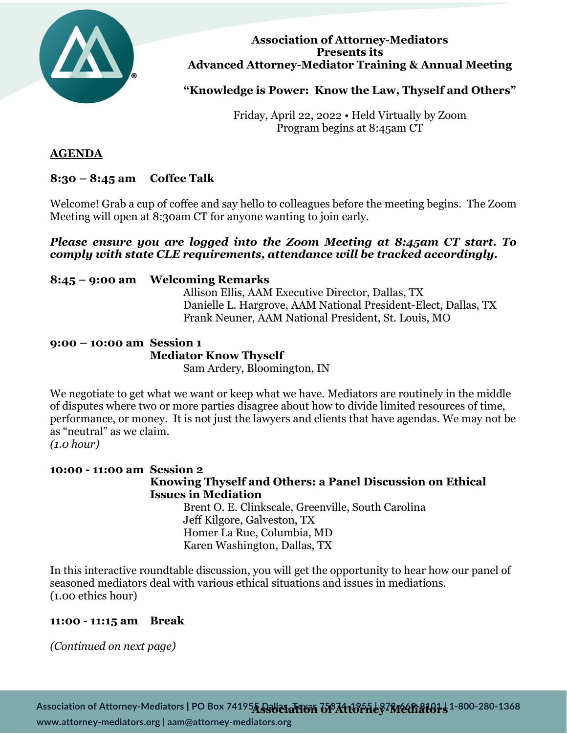

#### **Association of Attorney-Mediators Presents its Advanced Attorney-Mediator Training & Annual Meeting**

**"Knowledge is Power: Know the Law, Thyself and Others"**

Friday, April 22, 2022 • Held Virtually by Zoom Program begins at 8:45am CT

## **AGENDA**

## **8:30 – 8:45 am Coffee Talk**

Welcome! Grab a cup of coffee and say hello to colleagues before the meeting begins. The Zoom Meeting will open at 8:30am CT for anyone wanting to join early.

## *Please ensure you are logged into the Zoom Meeting at 8:45am CT start. To comply with state CLE requirements, attendance will be tracked accordingly.*

## **8:45 – 9:00 am Welcoming Remarks**

Allison Ellis, AAM Executive Director, Dallas, TX Danielle L. Hargrove, AAM National President-Elect, Dallas, TX Frank Neuner, AAM National President, St. Louis, MO

# **9:00 – 10:00 am Session 1 Mediator Know Thyself**

Sam Ardery, Bloomington, IN

We negotiate to get what we want or keep what we have. Mediators are routinely in the middle of disputes where two or more parties disagree about how to divide limited resources of time, performance, or money. It is not just the lawyers and clients that have agendas. We may not be as "neutral" as we claim.

*(1.0 hour)*

## **10:00 - 11:00 am Session 2 Knowing Thyself and Others: a Panel Discussion on Ethical Issues in Mediation** Brent O. E. Clinkscale, Greenville, South Carolina

Jeff Kilgore, Galveston, TX Homer La Rue, Columbia, MD Karen Washington, Dallas, TX

In this interactive roundtable discussion, you will get the opportunity to hear how our panel of seasoned mediators deal with various ethical situations and issues in mediations. (1.00 ethics hour)

## **11:00 - 11:15 am Break**

*(Continued on next page)*

Association of Attorney-Mediators | PO Box 74195A Bayes a Titon 668 Attorney<sup>7</sup> Mediators 1-800-280-1368 www.attorney-mediators.org | aam@attorney-mediators.org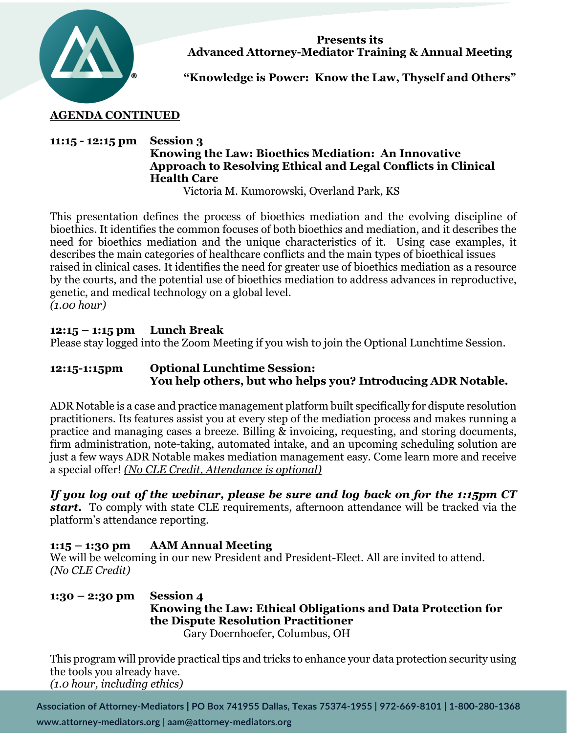

**Presents its Advanced Attorney-Mediator Training & Annual Meeting**

**"Knowledge is Power: Know the Law, Thyself and Others"**

## **AGENDA CONTINUED**

## **11:15 - 12:15 pm Session 3 Knowing the Law: Bioethics Mediation: An Innovative Approach to Resolving Ethical and Legal Conflicts in Clinical Health Care**

Victoria M. Kumorowski, Overland Park, KS

This presentation defines the process of bioethics mediation and the evolving discipline of bioethics. It identifies the common focuses of both bioethics and mediation, and it describes the need for bioethics mediation and the unique characteristics of it. Using case examples, it describes the main categories of healthcare conflicts and the main types of bioethical issues raised in clinical cases. It identifies the need for greater use of bioethics mediation as a resource by the courts, and the potential use of bioethics mediation to address advances in reproductive, genetic, and medical technology on a global level. *(1.00 hour)*

## **12:15 – 1:15 pm Lunch Break**

Please stay logged into the Zoom Meeting if you wish to join the Optional Lunchtime Session.

## **12:15-1:15pm Optional Lunchtime Session: You help others, but who helps you? Introducing ADR Notable.**

ADR Notable is a case and practice management platform built specifically for dispute resolution practitioners. Its features assist you at every step of the mediation process and makes running a practice and managing cases a breeze. Billing & invoicing, requesting, and storing documents, firm administration, note-taking, automated intake, and an upcoming scheduling solution are just a few ways ADR Notable makes mediation management easy. Come learn more and receive a special offer! *(No CLE Credit, Attendance is optional)*

*If you log out of the webinar, please be sure and log back on for the 1:15pm CT start.* To comply with state CLE requirements, afternoon attendance will be tracked via the platform's attendance reporting.

## **1:15 – 1:30 pm AAM Annual Meeting**

We will be welcoming in our new President and President-Elect. All are invited to attend. *(No CLE Credit)*

**1:30 – 2:30 pm Session 4 Knowing the Law: Ethical Obligations and Data Protection for the Dispute Resolution Practitioner** Gary Doernhoefer, Columbus, OH

This program will provide practical tips and tricks to enhance your data protection security using the tools you already have. *(1.0 hour, including ethics)*

Association of Attorney-Mediators | PO Box 741955 Dallas, Texas 75374-1955 | 972-669-8101 | 1-800-280-1368 www.attorney-mediators.org | aam@attorney-mediators.org